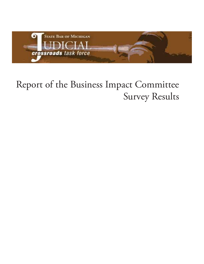

# Report of the Business Impact Committee Survey Results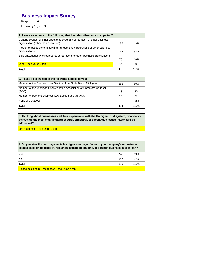# **Business Impact Survey**

Responses: 435

February 10, 2010

| 1. Please select one of the following that best describes your occupation?                                           |     |      |
|----------------------------------------------------------------------------------------------------------------------|-----|------|
| General counsel or other direct employee of a corporation or other business<br>organization (other than a law firm). | 185 | 43%  |
| Partner or associate of a law firm representing corporations or other business                                       |     |      |
| organizations.                                                                                                       | 145 | 33%  |
| Solo practitioner who represents corporations or other business organizations.                                       |     |      |
|                                                                                                                      | 70  | 16%  |
| <b>Other - see Ques 1 tab</b>                                                                                        | 35  | 8%   |
| Total                                                                                                                | 435 | 100% |

| 2. Please select which of the following applies to you:                |     |      |
|------------------------------------------------------------------------|-----|------|
| Member of the Business Law Section of the State Bar of Michigan.       | 262 | 60%  |
| Member of the Michigan Chapter of the Association of Corporate Counsel |     |      |
| (ACC).                                                                 | 13  | 3%   |
| Member of both the Business Law Section and the ACC.                   | 28  | 6%   |
| None of the above.                                                     | 131 | 30%  |
| <b>Total</b>                                                           | 434 | 100% |

**3. Thinking about businesses and their experiences with the Michigan court system, what do you believe are the most significant procedural, structural, or substantive issues that should be addressed?**

298 responses - see Ques 3 tab

| 4. Do you view the court system in Michigan as a major factor in your company's or business<br>client's decision to locate in, remain in, expand operations, or conduct business in Michigan? |     |      |
|-----------------------------------------------------------------------------------------------------------------------------------------------------------------------------------------------|-----|------|
| Yes                                                                                                                                                                                           | 52  | 13%  |
| <b>INo</b>                                                                                                                                                                                    | 347 | 87%  |
| Total                                                                                                                                                                                         | 399 | 100% |
| Please explain: 188 responses - see Ques 4 tab                                                                                                                                                |     |      |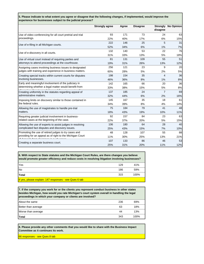**5. Please indicate to what extent you agree or disagree that the following changes, if implemented, would improve the experience for businesses subject to the judicial process?**

|                                                            | <b>Strongly agree</b> | Agree | <b>Disagree</b> | Strongly<br>disagree | <b>No Opinion</b> |
|------------------------------------------------------------|-----------------------|-------|-----------------|----------------------|-------------------|
| Use of video conferencing for all court pretrial and trial | 93                    | 171   | 73              | 24                   | 63                |
| proceedings.                                               | 22%                   | 40%   | 17%             | 6%                   | 15%               |
| Use of e-filing in all Michigan courts.                    | 222                   | 146   | 25              | 5                    | 31                |
|                                                            | 52%                   | 34%   | 6%              | 1%                   | 7%                |
| Use of e-discovery in all courts.                          | 132                   | 140   | 53              | 22                   | 76                |
|                                                            | 31%                   | 33%   | 13%             | 5%                   | 18%               |
| Use of virtual court instead of requiring parties and      | 81                    | 131   | 109             | 55                   | 51                |
| attorneys to attend proceedings at the courthouse.         | 19%                   | 31%   | 26%             | 13%                  | 12%               |
| Assigning cases involving business issues to designated    | 256                   | 121   | 23              | 9                    | 20                |
| judges with training and experience in business matters.   | 60%                   | 28%   | 5%              | 2%                   | 5%                |
| Creating special tracks within current courts for disputes | 198                   | 154   | 35              | 4                    | 36                |
| involving businesses.                                      | 46%                   | 36%   | 8%              | 1%                   | 8%                |
| Early and meaningful involvement of the judiciary in       | 142                   | 165   | 66              | 20                   | 36                |
| determining whether a legal matter would benefit from      | 33%                   | 38%   | 15%             | 5%                   | 8%                |
| Creating uniformity in the statutes regarding appeal of    | 137                   | 185   | 24              | $\overline{7}$       | 69                |
| administrative matters.                                    | 32%                   | 44%   | 6%              | 2%                   | 16%               |
| Imposing limits on discovery similar to those contained in | 145                   | 167   | 35              | 18                   | 61                |
| the federal rules.                                         | 34%                   | 39%   | 8%              | 4%                   | 14%               |
| Allowing the use of magistrates to handle pre-trial        | 75                    | 184   | 79              | 41                   | 48                |
| matters.                                                   | 18%                   | 43%   | 19%             | 10%                  | 11%               |
| Requiring greater judicial involvement in business-        | 92                    | 157   | 84              | 23                   | 63                |
| related cases at the beginning of the case.                | 22%                   | 37%   | 20%             | 5%                   | 15%               |
| Allowing the use of experts to assist judges in resolving  | 106                   | 180   | 64              | 28                   | 40                |
| complicated fact disputes and discovery issues.            | 25%                   | 43%   | 15%             | 7%                   | 10%               |
| Promoting the use of retired judges to try cases and       | 48                    | 128   | 107             | 55                   | 88                |
| providing for an appeal as of right to the Michigan Court  | 11%                   | 30%   | 25%             | 13%                  | 21%               |
|                                                            | 107                   | 133   | 86              | 46                   | 53                |
| Creating a separate business court.                        | 25%                   | 31%   | 20%             | 11%                  | 12%               |

| 6. With respect to State statutes and the Michigan Court Rules, are there changes you believe<br>would promote greater efficiency and reduce costs in resolving litigation involving businesses? |     |      |
|--------------------------------------------------------------------------------------------------------------------------------------------------------------------------------------------------|-----|------|
| Yes                                                                                                                                                                                              | 129 | 41%  |
| <b>No</b>                                                                                                                                                                                        | 186 | 59%  |
| Total                                                                                                                                                                                            | 315 | 100% |
| If yes, please explain: 147 responses - see Ques 6 tab                                                                                                                                           |     |      |

| 7. If the company you work for or the clients you represent conduct business in other states<br>besides Michigan, how would you rate Michigan's court system overall in handling the legal<br>proceedings in which your company or clients are involved? |     |      |
|----------------------------------------------------------------------------------------------------------------------------------------------------------------------------------------------------------------------------------------------------------|-----|------|
| About the same                                                                                                                                                                                                                                           | 236 | 69%  |
| Better than average                                                                                                                                                                                                                                      | 63  | 18%  |
| Worse than average                                                                                                                                                                                                                                       | 44  | 13%  |
| Total                                                                                                                                                                                                                                                    | 343 | 100% |

**8. Please provide any other comments that you would like to share with the Business Impact Committee as it continues its work.**

66 responses - see Ques 8 tab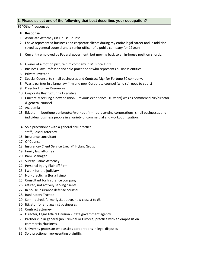# **1. Please select one of the following that best describes your occupation?**

#### 35 "Other" responses

- 1 Associate Attorney (In‐House Counsel)
- 2 I have represented business and corporate clients during my entire legal career and in addition I seved as general counsel and a senior officer of a public company for 17years.
- 3 Currently employed by Federal goverment, but moving back to an in‐house position shortly.
- 4 Owner of a motion picture film company in MI since 1991
- 5 Business Law Professor and solo practitioner who represents business entities.
- 6 Private Investor
- 7 Special Counsel to small businesses and Contract Mgr for Fortune 50 company.
- 8 Was a partner in a large law firm and now Corporate counsel (who still goes to court)
- 9 Director Human Resources
- 10 Corporate Restructuring Executive
- 11 Currentlly seeking a new position. Previous experience (10 years) was as commercial VP/director & general counsel
- 12 Academia
- 13 litigator in boutique bankruptcy/workout firm representing corporations, small businesses and individual business people in a variety of commercial and workout litigation.
- 14 Sole practitioner with a general civil practice
- 15 staff judicial attorney
- 16 Insurance consultant
- 17 Of Counsel
- 18 Insurance- Client Service Exec. @ Hylant Group
- 19 family law attorney
- 20 Bank Manager
- 21 Surety Claims Attorney
- 22 Personal Injury Plaintiff Firm
- 23 I work for the judiciary
- 24 Non‐practicing (for a living)
- 25 Consultant for Insurance company
- 26 retired, not actively serving clients
- 27 In house insurance defense counsel
- 28 Bankruptcy Trustee
- 29 Semi‐retired, formerly #1 above, now closest to #3
- 30 litigator for and against businesses
- 31 Contract attorney.
- 32 Director, Legal Affairs Division ‐ State government agency
- 33 Partnership in general (no Criminal or Divorce) practice with an emphasis on commercial/business.
- 34 University professor who assists corporations in legal disputes.
- 35 Solo practioner representing plaintiffs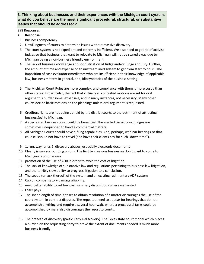# **3. Thinking about businesses and their experiences with the Michigan court system, what do you believe are the most significant procedural, structural, or substantive issues that should be addressed?**

#### 298 Responses

- 1 Business competency
- 2 Unwillingness of courts to determine issues without massive discovery.
- 3 The court system is not expedient and extremly inefficient. We also need to get rid of activist judges so that business that want to relocate to Michigan will not be scared away due to Michigan being a non‐business friendly environment.
- 4 The lack of business knowledge and sophistication of Judge and/or Judge and Jury. Further, the amount of time and expense of an unstreamlined system to get from start to finish. The imposition of case evaluators/mediators who are insufficient in their knowledge of applicable law, business matters in general, and, idiosyncracies of the business setting.
- 5 The Michigan Court Rules are more complex, and compliance with them is more costly than other states. In particular, the fact that virtually all contested motions are set for oral argument is burdensome, expensive, and in many instances, not necessary. Many other courts decide basic motions on the pleadings unless oral argument is requested.
- 6 Creditors rights are not being upheld by the district courts to the detriment of attracting business(es) to Michigan.
- 7 A specialized business court could be beneficial. The elected circuit court judges are sometimes unequipped to handle commercial matters.
- 8 All Michigan Courts should have e-filing capabilities. And, perhaps, webinar hearings so that counsel should not have to travel (and have their clients pay for such "down time").
- 9 1. runaway juries 2. discovery abuses, especially electronic documents
- 10 Clearly issues surrounding unions. The first ten reasons businesses don't want to come to Michigan is union issues.
- 11 promotion of the use of ADR in order to avoid the cost of litigation.
- 12 The lack of knowledge of substantive law and regulations pertaining to business law litigatiion, and the terribly slow ability to progress litigation to a conclusion.
- 13 The speed (or lack thereof) of the system and an existing rudimentary ADR system
- 14 Cap on compensatory damages/liability.
- 15 need better ability to get low cost summary dispositions where warranted.
- 16 Loser pays.
- 17 The shear length of time it takes to obtain resolution of a matter discourages the use of the court system in contract disputes. The repeated need to appear for hearings that do not accomplish anything and require a several hour wait, where a procedural tasks could be accomplished by mails also discourages the resort to courts.
- 18 The breadth of discovery (particularly e‐discovery). The Texas state court model which places a burden on the requesting party to prove the extent of documents needed is much more business‐friendly.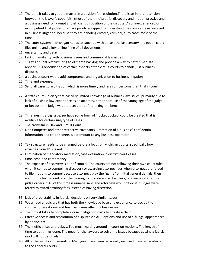- 19 The time it takes to get the matter in a position for resolution.There is an inherent tension between the lawyer's good faith (most of the time)pretrial discovery and motion practice and a business need for prompt and efficient disposition of the dispute. Also, inexperienced or incompetent trial judges often are poorly equipped to understand the complex laws involved in business litigation, because they are handling divorce, criminal, auto cases most of the time.
- 20 The court system in Michigan needs to catch up with atleast the last century and get all court files online and allow online filing of all documents.
- 21 uncertainty and delay
- 22 Lack of familiarity with business issues and commercial law issues
- 23 1. Tax Tribunal restructuring to elimante backlog and provide a way to better mediate appeals. 2. Consolidation of certain aspects of the circuit courts to handle just business disputes
- 24 a business court would add competence and organization to business litigation
- 25 Time and expense.
- 26 Send all cases to arbitration which is more timely and less cumbersome than trial in court.
- 27 A stste court judiciary that has very limited knowledge of business law issues, primarily due to lack of business law experience as an attorney, either because of the young age of the judge or because the judge was a prosecutor before taking the bench.
- 28 Timeliness is a big issue; perhaps some form of "rocket docket" could be created that is available for certain size/type of cases
- 29 The cronyism in Oakland Circuit Court.
- 30 Non Competes and other restrictive covenants. Protection of a business' confidential information and trade secrets is paramount to any business operation.
- 31 Tax structure needs to be changed before a focus on Michigan courts, specifically how royalties from IP is taxed.
- 32 Elimination of mandatory mediation/case evaluation in district court cases.
- 33 time, cost, and competency
- 34 The expense of discovery is out of control. The courts are not following their own court rules when it comes to compelling discovery or awarding attorney fees when attorneys are forced to file motions to compel because attorneys play the "game" of initial general denials, then wait to the last second or at the hearing to provide some discovery, or even until after the judge orders it. All of this time is unnecessary, and attorneys wouldn't do it if judges were forced to award attorney fees instead of having discretion.
- 35 lack of predictability in judicial decisions on very similar issues
- 36 We a need a judiciary that has both the knowledge base and experience to decide the complex opereational and financial issues affecting businesses.
- 37 The time it takes to complete a case in litigation costs to litigate a claim
- 38 Effective access and resoloution of disputes via ADR options and use of e-filings, appearances by phone, etc.
- 39 The inefficiences and delays. Too much waiting around in court on motions. The length of time to get things done. The need for the lawyers to solve the issues because getting a judicial read will not be timely.
- 40 All of the significant lawsuits in Michigan I have been personally involved in were transferred to the Federal Courts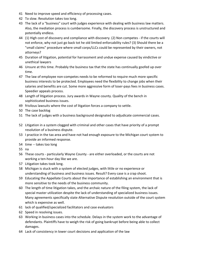- 41 Need to improve speed and efficiency of processing cases.
- 42 To slow. Resolution takes too long.
- 43 The lack of a "business" court with judges experience with dealing with business law matters. Also, the mediation process is cumbersome. Finally, the discovery process is unstructured and potentially endless.
- 44 (1) High cost of discovery and compliance with discovery. (2) Non competes ‐ if the courts will not enforce, why not just go back tot he old limited enforcability rules? (3) Should there be a "small claims" procedure where small corps/LLCs could be represented by their owners, not attorneys?
- 45 Duration of litigation, potential for harrassment and undue expense caused by vindictive or unethical lawyers
- 46 Unsure at this time. Probably the business tax that the state has continually goofed up over time.
- 47 The law of employee non-competes needs to be reformed to require much more specific business interests to be protected. Employees need the flexibility to change jobs when their salaries and benefits are cut. Some more aggressive form of loser-pays fees in business cases. Speedier appeals process.
- 48 Length of litigation process. Jury awards in Wayne county. Quality of the bench in sophisticated business issues.
- 49 frivilous lawsuits where the cost of litgation forces a company to settle.
- 50 The case backlog
- 51 The lack of judges with a business background designated to adjudicate commercial cases.
- 52 Litigation in a system clogged with criminal and other cases that have priority of a prompt resolution of a business dispute.
- 53 I practice in the tax area and have not had enough exposure to the Michigan court system to provide an informed response.
- 54 time -- takes too long
- 55 na
- 56 These courts ‐ particularly Wayne County ‐ are either overloaded, or the courts are not working a ten‐hour day like we are.
- 57 Litigation takes took long.
- 58 Michigan is stuck with a system of elected judges, with little or no experience or understanding of business and business issues. Result? Every case is a crap shoot.
- 59 Educating the Appellate Courts about the importance of establishing an environment that is more sensitive to the needs of the business community.
- 60 The length of time litigation takes, and the archaic nature of the filing system, the lack of special master utilization despite the lack of understanding of specialized business issues. Many agreements specifically state Alternative Dispute resolution outside of the court system which is expensive as well.
- 61 lack of qualified/specialized facilitators and case evaluators
- 62 Speed in resolving issues.
- 63 Working in business cases into the schedule. Delays in the system work to the advantage of defendants. Plaintiffs have to weigh the risk of going bankrupt before being able to collect damages.
- 64 Lack of consistency in lower court decisions and application of the law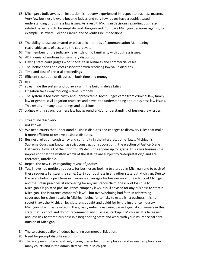- 65 Michigan's Judiciary, as an institution, is not very experienced in respect to business matters. Very few business lawyers become judges and very few judges have a sophisticated understanding of business law issues. As a result, Michigan decisions regarding business‐ related issues tend to be simplistic and disorganized. Compare Michigan decisions against, for example, Delaware, Second Circuit, and Seventh Circuit decisions.
- 66 The ability to use automated or electronic methods of communication Maintaining reasonable costs of access to the court system
- 67 The members of the judiciary have little or no familiarity with business issues.
- 68 ADR; denial of motions for summary disposition
- 69 Having state court judges who specialize in business and commercial cases
- 70 The inefficiencies and costs associated with resolving low value disputes.
- 71 Time and cost of pre-trial proceedings
- 72 Efficient resolution of disputes in both time and money.
- 73 n/a
- 74 streamline the system and do away with the build in delay tatics
- 75 Litigation takes way too long ‐‐ time is money.
- 76 The system is too slow, costly and unpredictable. Most judges came from criminal law, family law or general civil litigation practices and have little understanding about business law issues. This results in many poor rulings and decisions.
- 77 Judges with a strong business law background and/or understanding of business law issues.
- 78 streamline discovery
- 79 not known
- 80 We need courts that udnerstand business disputes and changes to discovery rules that make it more efficient to resolve business disputes.
- 81 Business relies on consistency and continuity in the interpretation of laws. Michigan's Supreme Court was known as strict constructionist court until the election of Justice Diane Hathaway. Now, all of the prior Court's decisions appear up for grabs. This gives business the impression that the written words of the statute are subject to "interpretation," and are, therefore, unreliable.
- 82 Repeal the new rules regarding reveal of justices.
- 83 Yes, I have had multiple requests for businesses looking to start up in Michigan and to each of these requests I answer the same. Start your business in any other state but Michigan. Due to the overwhelming problems in insurance coverages for businesses and residents of Michigan and the unfair practices at recovering for any insurance claim, the risk of loss due to Michigan's legislated pro‐ insurance company laws, it is ill advised for any business to start in Michigan. The insurance company's lawful but overwhelming bad faith in addressing coverages for claims results in Michigan being far to risky to establish a business. It is no secret thawt the Michigan legislature is bought and paidd for by the insurance industry in Michigan which has resulted in the grossly unfair laws being passed against consumers in this state that I cannot and do not recommend any business start up in Michigan. It is far easier and less risk to start a business in a neighboring State and work with your insurance carriers outside of Michigan.
- 84 The selecton/quality of judges handling commercial litigation.
- 85 Need for prompt dispute resolution.
- 86 There appears to be a relatively strong bias in favor of employees and against employers in many courts and in the administrative law in Michigan.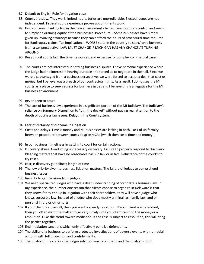- 87 Default to English Rule for litigation costs.
- 88 Courts are slow. They work limited hours. Juries are unpredictable. Elected judges are not independent. Federal court experience proves appointments work.
- 89 Few concerns: Banking law in the new environment banks have too much control and seem to simply be draining equity of the businesses. Procedural ‐ Some businesses have simply given up involving attorneys because they can't afford the hours of procedural time required for Bankruptcy claims. Tax implications - WORSE state in the country to start/run a business from a tax perspective. LAW MUST CHANGE IF MICHIGAN HAS ANY CHANCE AT TURNING AROUND.
- 90 Busy circuit courts lack the time, resources, and expertise for complex commercial cases.
- 91 The courts are not interested in settling business disputes. I have personal experience where the judge had no interest in hearing our case and forced us to negotiate in the hall. Since we were disadvantaged from a business perspective, we were forced to accept a deal that cost us money, but I believe was a breach of our contractual rights. As a result, I do not see the MI courts as a place to seek redress for business issues and I believe this is a negative for the MI business environment.
- 92 never been to court.
- 93 The lack of business law experience in a significant portion of the MI Judiciary. The Judiciary's reliance on Summary Disposition to "thin the docket" without paying real attention to the depth of business law issues. Delays in the Court system.
- 94 Lack of certainty of outcome in Litigation.
- 95 Costs and delays. Time is money and MI businesses are lacking in both. Lack of uniformity between procedure between courts despite MCRs (which then costs time and money).
- 96 In our business, timeliness in getting to court for certain actions.
- 97 Discovery abuse. Conducting unnecessary discovery. Failure to properly respond to discovery. Pleading matters that have no reasonable basis in law or in fact. Reluctance of the court's to try cases.
- 98 cost; e-discovery guidelines; length of time
- 99 The low priority given to business litigation matters. The failure of judges to comprehend business issues
- 100 Inability to get decisions from judges.
- 101 We need specialized judges who have a deep understanding of corporate a business law. In my experience, the number one reason that clients choose to organize in Delaware is that they know if they end up in litigation with their shareholders, they will have a judge who knows corporate law, instead of a judge who does mostly criminal las, family law, and or personal injury or other torts.
- 102 If your client is a plaintiff, then you want a speedy resolution. If your client is a defendant, then you often want the matter to go very slowly until you client can find the money or a resolution. I like the trend toward mediation. If the case is subject to resolution, this will bring the parties together.
- 103 End mediation sanctions which only effectively penalize defendants.
- 104 The ability of a business to perform protected investigations of adverse events with remedial actions, with full protection and confidentiality.
- 105 The quality of the clerks ‐ the judges rely too heavily on them, and the quality is poor.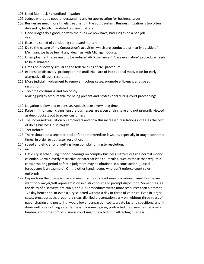- 106 Need fast track / expedited litigation
- 107 Judges without a good understanding and/or appreciation for business issues
- 108 Businesses need more timely treatment in the court system. Business litigation is too often delayed by legally mandated criminal matters.
- 109 Good Judges do a good job with the rules we now have, bad Judges do a bad job.
- 110 Yes
- 111 Ease and speed of concluding contested matters.
- 112 Do to the nature of my Corporation's activities, which are conducted primarily outside of Michigan; we have few, if any, dealings with Michigan Courts.
- 113 Unemployment taxes need to be reduced AND the current "case evaluation" procedure needs to be eliminated.
- 114 Limits on discovery similar to the federal rules of civil procedure.
- 115 expense of discovery; prolonged time until trial; lack of institutional motivation for early alternative dispute resolution.
- 116 More judicial involvement to remove frivolous cases, promote efficiency, and speed resolution.
- 117 Too time consuming and too costly.
- 118 Making judges accountable for being present and professional during court proceedings.
- 119 Litigation is slow and expensive. Appeals take a very long time.
- 120 Raise limit for small claims; ensure businesses are given a fair shake and not primarily viewed as deep pockets out to screw customers
- 121 The increased regulation on employers and how this increased regulations increases the cost of doing business in Michigan.
- 122 Tort Reform
- 123 There should be a separate docket for debtor/creditor lawsuits, especially in tough economic times, in order to get faster resolution.
- 124 speed and efficiency of getting from complaint filing to resolution.
- 125 na
- 126 Difficulty in scheduling motion hearings on complex business matters outside normal motion calendar. Certain overly restrictive or paternatlistic court rules, such as those that require a certain waiting period before a judgment may be obtained in a court action (judicial foreclosure is an example). On the other hand, judges who don't enforce court rules uniformly.
- 127 Depends on the business size and need. Landlords want easy procedures. Small businesses want non-lawyer/self representation in district court and prompt disposition. Sometimes, all the delay of discovery, pre‐trials, and ADR procedures waste more resources than a prompt 1/2 day bench trial or even a jury selected without a day or three of voir dire. Even in larger cases, procedures that require a clear, distilled presentation early on, without three years of paper chasing and posturing, would lower transaction costs, create faster dispositions, and, if done well, lose nothing as far fairness. To some degree, protracted discovery has become a burden, and some sort of business court might be a factor in attracting business.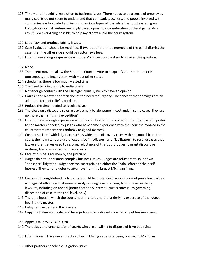- 128 Timely and thoughtful resolution to business issues. There needs to be a sense of urgency as many courts do not seem to understand that companies, owners, and people involved with companies are frustrated and incurring various types of loss while the court system goes through its normal routine seemingly based upon little consideration of the litigants. As a result, I do everything possible to help my clients avoid the court system.
- 129 Labor law and product liability issues.
- 130 Case Evaluation should be modified. If two out of the three members of the panel dismiss the case, then the other side should pay attorney's fees.
- 131 I don't have enough experience with the Michigan court system to answer this question.
- 132 None.
- 133 The recent move to allow the Supreme Court to vote to disqualify another member is outrageous, and inconsistent with most other states
- 134 scheduling; there is too much wasted time
- 135 The need to bring sanity to e-discovery.
- 136 Not enough contact with the Michigan court system to have an opinion.
- 137 Courts need a better appreciation of the need for urgency. The concept that damages are an adequate form of relief is outdated.
- 138 Reduce the time needed to resolve cases
- 139 The electronic discovery rules are extremely burdensome in cost and, in some cases, they are no more than a "fishing expedition"
- 140 I do not have enough experience with the court system to comment other than I would prefer to see matters handled by judges who have some experience with the industry involved in the court system rather than randomly assigned matters.
- 141 Costs associated with litigation, such as wide open discovery rules with no control from the court, the now‐standard use of expensive "mediators" and "facilitators" to resolve cases that lawyers themselves used to resolve, reluctance of trial court judges to grant dispositive motions, liberal use of expensive experts.
- 142 Lack of business acumen by the judiciary.
- 143 Judges do not understand complex business issues. Judges are reluctant to shut down "nonsense" litigation. Judges are too susceptible to either the "halo" effect or their self‐ interest. They tend to defer to attorneys from the largest Michigan firms.
- 144 Costs in bringing/defending lawsuits: should be more strict rules in favor of prevailing parties and against attorneys that unnecessarily prolong lawsuits. Length of time in resolving lawsuits, including on appeal (ironic that the Supreme Court creates rules governing disposition of case at the trial level, only).
- 145 The timeliness in which the courts hear matters and the underlying expertise of the judges hearing the matter.
- 146 Delays and expense in the process.
- 147 Copy the Delaware model and have judges whose dockets consist only of business cases.
- 148 Appeals take WAY TOO LONG
- 149 The delays and uncertantity of courts who are unwilling to dispose of frivolous suits.
- 150 I don't know. I have never practiced law in Michigan despite being licensed in Michigan.
- 151 other partners handle the litigation issues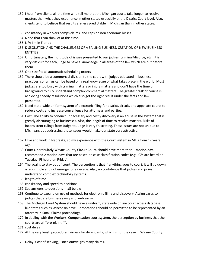- 152 I hear from clients all the time who tell me that the Michigan courts take longer to resolve matters than what they experience in other states‐especially at the District Court level. Also, clients tend to believe that results are less predictable in Michigan than in other states.
- 153 consistency in workers comps claims, and caps on non economic losses
- 154 None that I can think of at this time.
- 155 N/A I'm in Florida
- 156 DISSOLUTION AND THE CHALLENGES OF A FAILING BUSINESS, CREATION OF NEW BUSINESS **ENTITIES**
- 157 Unfortunately, the multitude of issues presented to our judges (criminal/divorce, etc.) it is very difficult for each judge to have a knowledge in all areas of the law which are put before them.
- 158 One size fits all automatic scheduling orders
- 159 There should be a commercial division to the court with judges educated in business practices, so rulings can be based on a real knowledge of what takes place in the world. Most judges are too busy with criminal matters or injury matters and don't have the time or background to fully understand complex commercial matters. The greatest task of course is achieving speedy resolutions which also get the right result under the facts and law presented.
- 160 Need state-wide uniform system of electronic filing for district, circuit, and appellate courts to reduce costs and increase convenience for attorneys and parties.
- 161 Cost. The ability to conduct unnecessary and costly discovery is an abuse in the system that is greatly discouraging to businesses. Also, the length of time to resolve matters. Risks of inconsistent rulings from Judge to Judge is very frustrating. These issues are not unique to Michigan, but addressing these issues would make our state very attractive.
- 162 I live and work in Nebraska, so my experience with the Court System in MI is from 17 years ago.
- 163 Courts, particularly Wayne County Circuit Court, should have more than 1 motion day. I recommend 2 motion days that are based on case classification codes (e.g., CZs are heard on Tuesday, PI heard on Friday).
- 164 The goal is to stay out of court. The perception is that if anything goes to court, it will go down a rabbit hole and not emerge for a decade. Also, no confidence that judges and juries understand complex technology systems.
- 165 length of time
- 166 consistency and speed to decisions
- 167 See answers to questions in #5 below
- 168 Continue to expand on use of methods for electronic filing and discovery. Assign cases to judges that are business savvy and web savvy.
- 169 The Michigan Court System should have a uniform, statewide online court access database like states such as Wisconsin have. Corporations should be permitted to be represented by an attorney in Small Claims proceedings.
- 170 In dealing with the Workers' Compensation court system, the perception by business that the courts are all "pro‐plaintiff".
- 171 cost delay
- 172 At the very least, procedural fairness for defendants, which is not the case in Wayne County.
- 173 Delay. Cost of seeking justice outweighs many claims.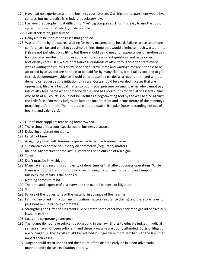- 174 Have had no experience with the business court system. Our litigation department would hve contact, but my practice is in federal regulatory law.
- 175 I believe that people find it difficult to "like" big companies. Thus, it is easy to use the court system to punish that whick you do not like.
- 176 Judicial selection; jury service
- 177 Delays in resolution of the cases that get filed
- 178 Waste of time by the courts--waiting for many matters to be heard. Failure to use telephone conferences, fax and email to get simple things done that would eliminate much wasted time. (Tjhis is not just electronic filing, but there should be no need for appearances on motion day for stipulated matters. Court can address those by phone if questions and issue orders. Motion days are HUGE waste of resources‐‐hundreds of attys throughout the state every week awaiting their turn. This must be fixed. Travel time and waiting time are not able to be absorbed by attys and are not able to be paid for by many clients. It still takes too long to get to trial. documentary evidence should be produced by parties as a requirement and without demand or request at the initiation of a case. Costs should be awarded in cases that are oppressive, filed as a tactical matter to put finacial pressure on small parties who cannot pay lots of atty fees. Same when someone denies and has no grounds for denial or asserts claims w/o basis at all. courts should not be useful as a negotiwqting tool by the well heeled against the little folks. Too many judges are lazy and incompetent and inconsiderate of the attorneys practicing before them. Their hours are unpredictable, irregular (notwithstanding notices of hearing and calendars).
- 179 Out of state suppliers fear being hometowned
- 180 There should be a court speciaiized in business disputes.
- 181 Delay, inconsistent decisions,
- 182 Length of time
- 183 Assigning judges with business experience to handle business issues.
- 184 substantive expertise of judiciary on commercial/regulatory matters
- 185 no idea. My practice for the last 20 years has been outside of Michigan.
- 186 Taxes
- 187 Don't practice in Michigan.
- 188 Many layer and resulting complexity of departments that affect business operations. While there is a lot of talk and support for stream‐lining the process for getting and keeping business, the reality is the opposite.
- 189 Nothing comes to mind.
- 190 The time and expense of discovery and the overall expense of litigation.
- 191 ?
- 192 Failure of the judges to read the material in advance of the hearing
- 193 I am not involved in my comany's litigation matters (insurance claims) and therefore have no pertinent or substantive comments.
- 194 Strengthing the Offer of Judgment rule or create some other mechanism to get rid of frivolous lawsuits earlier.
- 195 taxes and corporate governance
- 196 The judges do not have sufficent background in the law. Efforts to educate judges in judicial seminars have not been sufficient, and these programs are poorly attended. Costs of litigation are outrageous. These costs might be reduced if judges were more familiar with the laws that impact their cases.
- 197 Judges should try to understand the nature of the dispute early on in a non‐adversarial manner, and skip case evaluation entirely.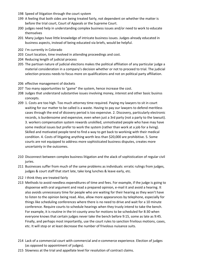- 198 Speed of litigation through the court system
- 199 A feeling that both sides are being treated fairly, not dependent on whether the matter is before the trial court, Court of Appeals or the Supreme Court.
- 200 judges need help in understanding complex business issues and/or need to work to educate themselves
- 201 Many judges have little knowledge of intricate business issues. Judges already educated in business aspects, instead of being educated via briefs, would be helpful.
- 202 I'm currently in Colorado
- 203 Court location, time involved in attending proceedings and cost.
- 204 Reducing length of judicial process
- 205 The partisan nature of judicial elections makes the political affiliation of any particular judge a material consideration in a company's decision whether or not to proceed to trial. The judicial selection process needs to focus more on qualifications and not on political party affiliation.
- 206 effective management of dockets
- 207 Too many opportunities to "game" the system, hence increase the cost.
- 208 Judges that understand substantive issues involving money, interest and other basic businss concepts.
- 209 1. Costs are too high. Too much attorney time required. Paying my lawyers to sit in court waiting for our matter to be called is a waste. Having to pay our lawyers to defend meritless cases through the end of dicovery period is too expensive. 2. Discovery, particularly electronic records, is burdensome and expensive, even when just a 3rd party (not a party to the lawsuit). 3. workers compensation system rewards unskilled, unmotivated people who have may have some medical issues but prefer to work the system (rather than work at a job for a living). Skilled and motivated people tend to find a way to get back to workinig with their medical condition. 4. Costs of litigating anything worth less than \$20,000 are prohibitive. 5. Some courts are not equipped to address more sophisticated business disputes, creates more uncertainty in the outcomes.
- 210 Disconnect between complex business litigation and the alack of sophistication of regular civil juries.
- 211 Businesses suffer from much of the same problems as individuals: erratic rulings from judges, judges & court staff that start late, take long lunches & leave early, etc.
- 212 I think they are treated fairly
- 213 Methods to avoid needless expenditures of time and fees. For example, if the judge is going to dispoense with oral argument and read a prepared opinion, e‐mail it and avoid a hearing. It also avoids unnecessary time for people who are waiting for their hearing as they won't have to listen to the opinion being read. Also, allow more appearances by telephone, especially for things like scheduling conferences where there is no need to drive and wait for a 10 minute conference. Require courts to schedule hearings when they truoly intend to take the bench. For example, it is routine in the tri-county area for motions to be scheduled for 8:30 when everyone knows that certain judges never take the bench before 9:15, some as late as 9:45. Finally, and perhaps most importantly, use the court rules to sanction frivilous motions, cases, etc. It will stop or at least decrease the number of frivolous nuisance suits.
- 214 Lack of a commercial court with commercial and e-commerce experience. Election of judges (as opposed to appointment of judges).
- 215 Slowness at the trial and appellate level for resolution of contract claims.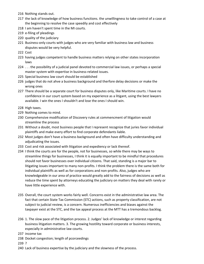- 216 Nothing stands out.
- 217 the lack of knowledge of how business functions. the unwillingness to take control of a case at the beginning to resolve the case speedily and cost effectively
- 218 I am haven't spent time in the MI courts.
- 219 e-filing of pleadings
- 220 quality of the judiciary
- 221 Business‐only courts with judges who are very familiar with business law and business disputes would be very helpful.
- 222 Cost
- 223 having judges competent to handle business matters relying on other states incorporation laws
- 224 . . . the possibility of a judicial panel devoted to commercial law issues, or perhaps a special master system with expertise in business-related issues.
- 225 Special business law court should be established
- 226 judges that do not ahve a business background and therfore delay decisions or make the wrong ones
- 227 There should be a separate court for business disputes only, like Maritime courts. I have no confidence in our court system based on my experience as a litigant, using the best lawyers available. I win the ones I shouldn't and lose the ones I should win.
- 228 High taxes.
- 229 Nothing comes to mind.
- 230 Comprehensive modification of Discovery rules at commencment of litigation would streamline the process
- 231 Without a doubt, most business people that I represent recognize that juries favor individual plaintiffs and make every effort to find corporate defendants liable.
- 232 Most judges don't have a business background and often have difficulty understanding and adjudicating the issues.
- 233 Cost and risk associated with litigation and expediency or lack thereof.
- 234 I think the courts are for the people, not for businesses, so while there may be ways to streamline things for businesses, I think it is equally important to be mindful that procedures should not favor businesses over individual citizens. That said, standing is a major bar to litigating issues important to many non‐profits. I think the problem there is the same both for individual plaintiffs as well as for corporations and non‐profits. Also, judges who are knowledgeable in our area of practice would greatly add to the fairness of decisions as well as reduce the time spent by attorneys educating the judiciary on matters they deal with rarely or have little experience with.
- 235 Overall, the court system works fairly well. Concerns exist in the administrative law area. The fact that certain State Tax Commission (STC) actions, such as property classification, are not subject to judicial review, is a concern. Numerous inefficiencies and biases against the taxpayer exist at the STC, and the tax appeal process at the MTT has a tremondous backlog.
- 236 1. The slow pace of the litigation process. 2. Judges' lack of knowledge or interest regarding business litigation matters. 3. The growing hostility toward corporate or business interests, especially in administrative law courts.
- 237 income tax
- 238 Docket congestion; length of pcorceedings
- 239 ?
- 240 Lack of business expertise by the judiciary and the slowness of the process.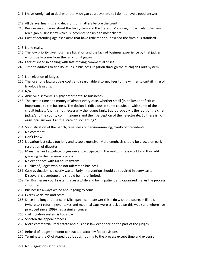- 241 I have rarely had to deal with the Michigan court system, so I do not have a good answer.
- 242 All delays: hearings and decisions on matters before the court.
- 243 Businesses concerns about the tax system and the State of Michigan, in particular, the new Michigan business tax which is incomprehensible to most clients.
- 244 Cost of defending against claims that have little merit but exceed the frivolous standard.
- 245 None really.
- 246 The low priority given business litigation and the lack of business experience by trial judges who usually come from the ranks of litigators.
- 247 Lack of speed in dealing with fast-moving commercial crises.
- 248 Time to address to finality issues in business litigation through the Michigan Court system
- 249 Non election of judges
- 250 The loser of a lawsuit pays costs and reasonable attorney fees to the winner to curtail filing of frivolous lawsuits.
- 251 N/A
- 252 Abusive discovery is highly detrimental to busineses.
- 253 The cost in time and money of almost every case, whether small (in dollars) or of critical importance to the business. The docket is ridiculous in some circuits or with some of the circuit judges. And it is not necessarily the judges fault. But it probably is the fault of the chief judge/and the county commissioners and their perception of their electorate. So there is no easy local answer. Can the state do something?
- 254 Sophistication of the bench; timeliness of decision‐making; clarity of precedents
- 255 No comment
- 256 Don't know.
- 257 Litigation just takes too long and is too expensive. More emphasis should be placed on early resolution of disputes.
- 258 Many trial and appelate judges never participated in the real business world and thus add guessing to the decision process
- 259 No experience with MI court system.
- 260 Quality of judges who do not uderstand business
- 261 Case evaluation is a costly waste. Early intervention should be required in every case. Discovery is overdone and should be more limited.
- 262 Tell Businesses court system takes a while and being patient and organized makes the process smoother.
- 263 Businesses always whine about going to court.
- 264 Excessive delays and costs.
- 265 Since I no longer practice in Michigan, I can't answer this. I do wish the courts in Illinois (where tort reform never takes and med mal caps were struck down this week and where I've practiced since 1999) had a similar concern.
- 266 civil litigation system is too slow
- 267 Shorten the appeal process.
- 268 More commercial, real estate and business law experince on the part of the judges.
- 269 Refusal of judges to honor contractual attorney fee provisions.
- 270 Terminate the Ct of Appeals as it adds nothing to the process except time and expense.
- 271 No suggestions at this time.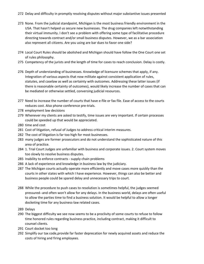- 272 Delay and difficulty in promptly resolving disputes without major substantive issues presented
- 273 None. From the judicial standpoint, Michigan is the most business friendly environment in the USA. That hasn't helped us secure new businesses. The drug companies left notwithstanding their virtual immunity. I don't see a problem with offering some type of facilitative procedure directing towards contract and/or small business disputes. However, we as a bar association also represent all citizens. Are you using are bar dues to favor one side?
- 274 Local Court Rules should be abolished and Michigan should have follow the One Court one set of rules philosophy.
- 275 Competency of the jurists and the length of time for cases to reach conclusion. Delay is costly.
- 276 Depth of understanding of businesses. Knowledge of licensure schemes that apply, if any. Integration of various aspects that now militate against consistent application of rules, statutes, and caselaw as well as certainty with outcomes. Addressing these latter issues (if there is reasonable certainty of outcomes), would likely increase the number of cases that can be mediated or otherwise settled, conversing judicial resources.
- 277 Need to increase the number of courts that have e-file or fax file. Ease of access to the courts reduces cost. Also phone conference pre‐trials.
- 278 employment law decisions
- 279 Whenever my clients are asked to testify, time issues are very important. If certain processes could be speeded up that would be appreciated.
- 280 time and cost
- 281 Cost of litigation, refusal of Judges to address critical interim measures.
- 282 The cost of litigation is far too high for most businesses.
- 283 many judges are former prosecutors and do not understand the sophisticated nature of this area of practice.
- 284 1. Trial Court Judges are unfamiliar with business and corporate issues. 2. Court system moves too slowly to resolve business disputes.
- 285 Inability to enforce contracts ‐ supply chain problems
- 286 A lack of experience and knowledge in business law by the judiciary.
- 287 The Michigan courts actually operate more efficiently and move cases more quickly than the courts in other states with which I have experience. However, things can also be better and business people could be spared delay and unnecessary trips to court.
- 288 While the procedure to push cases to resolution is sometimes helpful, the judges seemed pressured‐‐and often won't allow for any delays. In the business world, delays are often useful to allow the parties time to find a business solution. It would be helpful to allow a longer docketing time for any business‐law related cases.
- 289 Delays
- 290 The biggest difficulty we see now seems to be a proclivity of some courts to refuse to follow time honored rules regarding business practice, including contract, making it difficult to counsel clients.
- 291 Court docket too long
- 292 Simplify our tax code,provide far faster deprecation for newly acquired assets and reduce the costs of hiring and firing employees.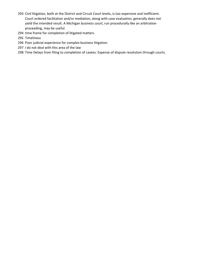- 293 Civil litigation, both at the District and Circuit Court levels, is too expensive and inefficient. Court ordered facilitation and/or mediation, along with case evaluation, generally does not yield the intended result. A Michigan business court, run procedurally like an arbitration proceeding, may be useful.
- 294 time frame for completion of litigated matters
- 295 Timeliness
- 296 Poor judicial experience for complex business litigation.
- 297 I do not deal with this area of the law
- 298 Time Delays from filing to completion of casees. Expense of dispute resolution through courts.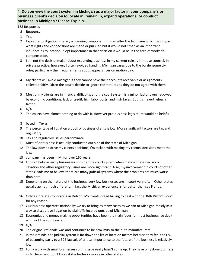# **4. Do you view the court system in Michigan as a major factor in your company's or business client's decision to locate in, remain in, expand operations, or conduct business in Michigan? Please Explain.**

# 188 Responses

- **# Response**
- 1 Yes.
- 2 Exposure to litigation is rarely a planning component. It is an after the fact issue which can impact what rights and /or decisions are made or pursued but it would not stnad as an important influence as to location. If opf importance in that decision it would be in the area of worker's compensation.
- 3 I am not the decisionmaker about expanding business in my current role as in-house counsel. In private practice, however, I often avoided handlng Michigan cases due to the burdensome civil rules, particularly their requirements about appearances on motion day.
- 4 My clients will avoid michigan if they cannot have their accounts receivable or assignments collected fairly. Often the courts decide to ignore the statutes as they do not agree with them.
- 5 Most of my clients are in financial difficulty, and the court system is a minor factor overshadowed by economic conditions, lack of credit, high labor costs, and high taxes. But it is nevertheless a factor.
- 6 N/A.
- 7 The courts have almost nothing to do with it. However pro-business legislature would be helpful.
- 8 based in Texas.
- 9 The percentage of litigation a book of business clients is low. More significant factors are tax and regulatory.
- 10 Tax and regulatory issues perdominate
- 11 Most of or business is actually conducted out side of the state of Michigan.
- 12 The law doesn't drive my clients decisions; I'm tasked with making my clients' decisions meet the law.
- 13 company has been in MI for over 160 years.
- 14 I do not believe many businesses consider the court system when making these decisions. Taxation and other regulatory issues are more significant. Also, my involvement in courts of other states leads me to believe there are many judicial systems where the problems are much worse than here.
- 15 Depending on the nature of the business, very few businesses are in court very often. Other states usually ae not much different, in fact the Michigan experience is far better than say Florida.
- 16 Only as it relates to locating in Detroit. My clients dread having to deal with the 36th District Court for any reason
- 17 Our business operates nationally; we try to bring as many cases as we can to Michigan mostly as a way to discourage litigation by plaintiffs located outside of Michigan
- 18 Economics and money making opportunities have been the main focus for most business Ive dealt with, not the court system.
- 19 N/A
- 20 The original rationale was and continues to be proximity to the auto manufacturers.
- 21 in their minds, the judicial system is far down the list of location factors because they feel the risk of becoming party to a B2B lawsuit of critical importance to the future of the business is relatively low
- 22 I only work with small businesses so this issue really hasn't come up. They have only done business in Michigan and don't know if it is better or worse in other states.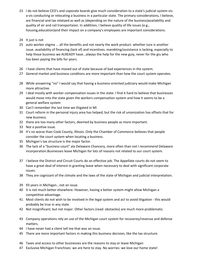- 23 I do not believe CEO's and coporate boards give much consideration to a state's judicial system visa-vis conducting or relocating a business in a particular state. The primary considerations, I believe, are financial and tax relataed as well as (depending on the nature of the business)availability and quality of air and rail transportaion. In additiion, I believe quality of life issues (e.g., housing,education)and their impact on a company's employees are important considerations.
- 24 It just is not
- 25 auto worker stigma ... all the benefits and not nearly the work product. whether ture is another issue. availability of financing (lack of) and incentives. marekting/assistance is lacking, especially to help those business we ALREADY have...always the help for the new guiy, never for the giu who has been paying the bills for years.
- 26 I have clients that have moved out of state because of bad experiences in the system.
- 27 General market and business conditons are more important than how the court system operates.
- 28 While answering "no" I would say that having a business-oriented judiciary would make Michigan more attractive.
- 29 I deal mostly with worker compensation issues in the state. I find it hard to believe that businesses would move into the state given the workers compensation system and how it seems to be a general welfare system
- 30 Can't remember the last time we litigated in MI
- 31 Court reform in the personal injury area has helped, but the risk of unionization has offsets that for new business.
- 32 there are too many other factors, deemed by business people as more important.
- 33 Not a positive issue.
- 34 It's no worse than Cook County, Illinois. Only the Chamber of Commerce believes that people consider the court system when locating a business.
- 35 Michigan's tax structure is the major factor.
- 36 The lack of a "business court" ala Delaware Chancery, more often than not I recommend Delaware incorporation.Businesses leave Michigan for lots of reasons not related to our court system.
- 37 I believe the District and Circuit Courts do an effective job. The Appellate courts do not seem to have a great deal of interest in granting leave when necessary to deal with significant corporate issues.
- 38 They are cognizant of the climate and the laws of the state of Michigan and judicial interpretation.
- 39 93 years in Michigan...not an issue.
- 40 It is not much better elsewhere. However, having a better system might allow Michigan a competitive advantage.
- 41 Most clients do not wish to be involved in the legal system and act to avoid litigation ‐ this would probably be true in any state
- 42 Not insignificant; but not major. Other factors (read: obstacles) are much more problematic.
- 43 Company operations rely on use of the Michigan court system for recoverey/revenue and defense matters.
- 44 I have never had a client tell me that was an issue.
- 45 There are more important factors in making this business decision, like the tax structure.
- 46 Taxes and access to other businesses are the reasons to stay or leave Michigan
- 47 Exclusive Michigan Franchises: we are here to stay. No worries: we love our home state!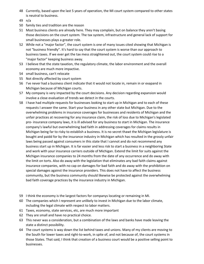- 48 Currently, based upon the last 5 years of operation, the MI court system compared to other states is neutral to business.
- 49 n/a
- 50 family ties and tradition are the reason
- 51 Most business clients are already here. They may complain, but on balance they aren't basing those decisions on the court system. The tax system, infrastructure and general lack of support for small businesses plays a greater role.
- 52 While not a "major factor", the court system is one of many issues cited showing that Michigan is not "business friendly". It's hard to say that the court system is worse than our approach to business taxes. If we ever get the tax mess straightened out, the court system could rise to a "major factor" keeping business away.
- 53 I believe that the state taxation, the regulatory climate, the labor environment and the overall economy are much more impactive.
- 54 small business, can't relocate
- 55 Not directly affected by court system
- 56 I've never had a business client indicate that it would not locate in, remain in or exapand in Michigan because of Michigan courts.
- 57 My company is very impacted by the court decisions. Any decision regarding expansion would involve a close evaluation of trends we detect in the courts.
- 58 I have had multiple requests for businesses looking to start up in Michigan and to each of these requests I answer the same. Start your business in any other state but Michigan. Due to the overwhelming problems in insurance coverages for businesses and residents of Michigan and the unfair practices at recovering for any insurance claim, the risk of loss due to Michigan's legislated pro‐ insurance company laws, it is ill advised for any business to start in Michigan. The insurance company's lawful but overwhelming bad faith in addressing coverages for claims results in Michigan being far to risky to establish a business. It is no secret thawt the Michigan legislature is bought and paidd for by the insurance industry in Michigan which has resulted in the grossly unfair laws being passed against consumers in this state that I cannot and do not recommend any business start up in Michigan. It is far easier and less risk to start a business in a neighboring State and work with your insurance carriers outside of Michigan. Extend the limit for suits against the Michigan insurance companies to 24 months from the date of any occurrence and do away with the limit on torts. Also do away with the legislation that eliminates any bad faith claims against insurance companies, with no cap on damages for bad faith and do away with the prohibition on special damages against the insurance providers. This does not have to affect the business community, but the business community should likewise be protected against the overwhelming bad faith coverage practices by the insurance industry in Michigan.
- 59 I think the economy is the largest factors for companys locating or remaining in MI.
- 60 The companies which I represent are unlikely to invest in Michigan due to the labor climate, including the legal climate with respect to labor matters.
- 61 Taxes, economy, state services, etc, are much more important
- 62 They are small and have no practical choice.
- 63 This never was a consideration, but a combination of the laws and banks have made leaving the state a distinct possibility.
- 64 The court systems is way down the list behind taxes and unions. Many of my clients are moving to the South for lower taxes and right-to-work, in spite of, and not because of, the court systems in those States. That said, I think that creation of a business court would be a positive selling point to businesses.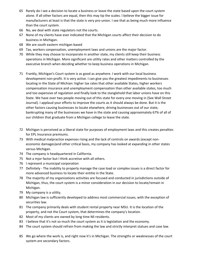- 65 Rarely do I see a decision to locate a business or leave the state based upon the court system alone. If all other factors are equal, then this may tip the scales. I believe the bigger issue for manufacturers at least is that the state is very pro-union. I see that as being much more influence than the court system.
- 66 No, we deal with state regulators not the courts.
- 67 None of my clients have ever indicated that the Michigan courts affect their decision to do business in Michigan.
- 68 We are south eastern michigan based
- 69 Tax, workers conpensation, unemployment laws and unions are the major factor.
- 70 While they may choose to incorporate in another state, my clients still keep their business operations in Michigan. More significant are utility rates and other matters controlled by the executive branch when deciding whether to keep business operations in Michigan.
- 71 Frankly, Michigan's Court system is as good as anywhere. I work with our local business development non‐profit. It is very active. I can give you the greatest impediments to businesses locating in the State of Michian: higher tax rates that other available States, higher workers compensation insurance and unemployment compensation than other available states, too much and too expensive of regulation and finally look to the stanglehold that labor unions have on this State. We have over two people moving out of this state for every one moving in (See Wall Street Journal). I applaud your efforts to improve the courts as it should always be done. But it is the other factors causing businesses to locate elsewhere, driving businesses out of our state, bankrupting many of the businesses we have in the state and causing approximately 67% of all of our children that graduate from a Michigan college to leave the state.
- 72 Michigan is perceived as a liberal state for purposes of employment laws and this creates penalties for EPL Insurance premiums.
- 73 With medical malpractice expenses rising and the lack of controls on awards (except non‐ economic damages)and other critical basis, my company has looked at expanding in other states versus Michigan.
- 74 The company is headquartered in California.
- 75 Not a mjor factor but I think accretive with all others.
- 76 I represent a municipal corporation
- 77 Definitely The inability to properly manage the case load or complex issues is a direct factor for more advanced business to locate their entitie in the State.
- 78 The majority of my organizations activities are focused and conducted in jurisdictions outside of Michigan, thus, the court system is a minor consideration in our decision to locate/remain in Michigan.
- 79 My company is a utility.
- 80 Michigan law is sufficiently developed to address most commercial issues, with the exception of securities law.
- 81 The company primarily deals with student rental property near MSU. It is the location of the property, and not the Court system, that determines the company's location.
- 82 Most of my clients are owned by long time Mi residents.
- 83 I believe that it's not so much the court system as it is legislation and the economy.
- 84 The court system should refrain from making the law and strictly interpret statues and case law.
- 85 We go where the work is, and right now it's in Michigan. The strengths or weaknesses of the court system are secondary factors.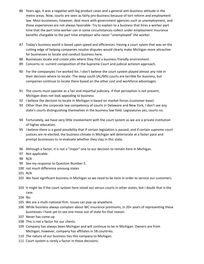- 86 Years ago, it was a negative with big product cases and a general anti-business attitude in the metro areas. Now, courts are seen as fairly pro-business because of tort reform and employment law. Most businesses, however, deal more with government agencies such as unemployment, and those experiences are not always favorable. Try to explain to a business that hires a worker part time that the part time worker can in some circumstances collect under employment insurance benefits chargable to the part time employer who never "unemployed" the worker.
- 87 Today's business world is based upon speed and efficiences. Having a court sytem that was on the cutting edge of helping companies resolve disputes would clearly make Michigan more attractive for businesses to locate and conduct business here.
- 88 Businesses locate and create jobs where they find a business friendly environment.
- 89 Concerns re: current composition of the Supreme Court and judicial activism approach.
- 90 For the companyies I've worked for, I don't believe the court system played almost any role in their decision where to locate. The deep south (AL/MS) courts are terrible for business, but companies continue to locate there based on the other cost and workforce advantages.
- 91 The courts must operate as a fair and impartial judiciary. If that perception is not present, Michigan does not look appealing to business
- 92 I believe the decision to locate in Michigan is based on market forces (customer base).
- 93 Other than the corporate law competency of courts in Delaware and New York, I don't see any state's courts distinguishing themselves in the business law field. Legislatures yes, courts no.
- 94 Fortunately, we have very little involvement with the court system as we are a private institution of higher education.
- 95 I believe there is a good possibility that if certain legislation is passed, and if certain supreme court justices are re-elected, the business climate in Michigan will deteriorate at a faster pace and prompt businesses to re-evaluate whether they stay in this state.
- 96 Although a factor, it is not a "major" one to our decision to remain here in Michigan.
- 97 Not applicable.
- 98 N/A
- 99 See my response to Question Number 5.
- 100 not much difference amoung states
- 101 N/A
- 102 We have significant business in Michigan so we need to be here in order to service our customers.
- 103 It might be if the court system here stood out versus courts in other states, but I doubt that is the case.
- 104 No.
- 105 We are a multi‐national firm. Issues can pop up anywhere.
- 106 While business always complain about WC insurance premiums, in 20+ years of representing these businesses I have yet to see one move out of state for that reason.
- 107 Never has come up
- 108 This is not a factor for our clients.
- 109 Company has always been Michigan and will continue to be in Michigan. Owners are from Michigan, however, company has affiliates in 58 countries.
- 110 The nature of our business ties this company to Michigan.
- 111 Court system is rarely a factor in these decisions.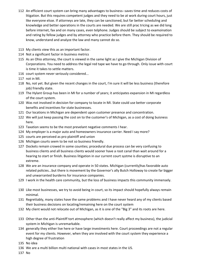- 112 An efficient court system can bring many advantages to business--saves time and reduces costs of litigation. But this requires competent judges and they need to be at work during court hours, just like everyone elsse. If attorneys are late, they can be sanctioned, but far better scheduling and knowledge and better operations in the courts are needed. We are still prac tricing as we did long before internet, fax and on many cases, even telphone. Judges should be subject to examoination and rating by fellow judges and by attorney who practice before them. They should be required to know, understand and analyze the law and many cannot do so.
- 113 My clients view this as an important factor.
- 114 Not a significant factor in business metrics
- 115 As an Ohio attorney, the court is viewed in the same light as I give the Michigan Division of Corporations. You need to address the legal red tape we have to go through. Only issue with court is time it takes to settle matters.
- 116 court system never seriously considered...
- 117 not in MI.
- 118 No, not yet. But given the recent changes in the court, I'm sure it will be less business (therefore job) friendly state.
- 119 The Hylant Group has been in MI for a number of years; it anticipates expansion in MI regardless of the court system.
- 120 Was not involved in decision for company to locate in MI. State could use better corporate benefits and incentives for state businesses.
- 121 Our locations in Michigan are dependent upon customer presence and concentration.
- 122 We will just keep passing the cost on to the customer's of Michigan, as a cost of doing buisness here.
- 123 Taxation seems to be the most prevelant negative comments I hear.
- 124 My employer is a major auto and homeowners insurance carrier. Need I say more?
- 125 courts are perceived as pro plaintiff and union
- 126 Michigan courts seem to be not so business friendly.
- 127 Dockets remain crowed in some counties; procedural due process can be very confusing to business clients and all business clients would sooner have a root canal than wait around for a hearing to start or finish. Business litigation in our current court systme is disruptive to an extreme.
- 128 We are an insurance company and operate in 50 states. Michigan (currently)has favorable auto related policies...but there is movement by the Governor's ally Butch Holloway to create far bigger and unwarranted burderns for insurance companies.
- 129 I work in the health care community, but the loss of business impacts this community immensely.
- 130 Like most businesses, we try to avoid being in court, so its impact should hopefully always remain minimal.
- 131 Regrettably, many states have the same problems and I have never heard any of my clients based their business decisions on locating/remaining here on the court system
- 132 My client would not relocate out of Michigan, as it is one of the "Big 3" and its roots are here.
- 133 Other than the anti‐Plaintiff tort atmosphere (which doesn't really affect my business), the judicial system in Michigan is unremarkable.
- 134 generally they either live here or have large investments here. Court proceedings are not a regular event for my clients. However, when they are involved with the court system they experience a high degree of frustration
- 135 No idea
- 136 We are a multi billion multi national with cases in most states in the US.
- 137 No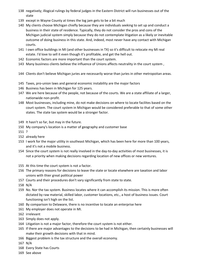- 138 negatively; illogical rulings by federal judges in the Eastern District will run businesses out of the state
- 139 except in Wayne County at times the log jam gets to be a bit much
- 140 My clients choose Michigan chiefly because they are individuals seeking to set up and conduct a business in their state of residence. Typically, they do not consider the pros and cons of the Michigan judicial system simply because they do not contemplate litigation as a likely or inevitable outcome of doing business in this state. And, indeed, most never have any contact with Michigan courts.
- 141 I own office buildings in MI (and other businesses in TX) so it's difficult to relocate my MI real estate. I'd love to sell it even though it's profitable, and get the hell out.
- 142 Economic factors are more important than the court system.
- 143 Many busiiness clients believe the influence of Unions affects neutrality in the court system ,
- 144 Clients don't believe Michigan juries are necessarily worse than juries in other metropoitan areas.
- 145 Taxes, pro-union laws and general economic instability are the major factors
- 146 Business has been in Michigan for 125 years.
- 147 We are here because of the people, not because of the courts. We are a state affiliate of a larger, nationwide non‐profit.
- 148 Most businesses, including mine, do not make decisions on where to locate facilites based on the court system. The court system in Michigan would be considered preferable to that of some other states. The state tax system would be a stronger factor.
- 149 It hasn't so far, but may in the future.
- 150 My company's location is a matter of geography and customer base
- 151 ?
- 152 already here
- 153 I work for the major utility in southeast Michigan, which has been here for more than 100 years, and it's not a mobile business.
- 154 Since the court system is not really involved in the day-to-day activities of most businesses, it is not a priority when making decisions regarding location of new offices or new ventures.
- 155 At this time the court system is not a factor.
- 156 The primary reasons for decisions to leave the state or locate elsewhere are taxation and labor unions with thier great political power
- 157 Courts and their procedures don't vary significantly from state to state.
- 158 N/A
- 159 No. Nor the tax system. Business locates where it can accomplish its mission. This is more often dictated by raw material, skilled labor, customer locations, etc., a host of business issues. Court functioning isn't high on the list.
- 160 By comparison to Delaware, there is no incentive to locate an enterprise here
- 161 My employer does not operate in MI.
- 162 irrelevant
- 163 Simply does not apply.
- 164 Litigation is not a major factor, therefore the court system is not either.
- 165 If there are major advantages to the decisions to be had in Michigan, then certainly businesses will make their growth decisions with that in mind.
- 166 Biggest problem is the tax structure and the overall economy.
- 167 N/A
- 168 Every State has Courts
- 169 See above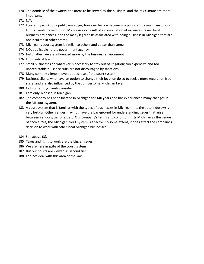- 170 The domicile of the owners, the areas to be served by the business, and the tax climate are more important.
- 171 N/A
- 172 I currently work for a public employer, however before becoming a public employee many of our Firm's clients moved out of Michigan as a result of a combination of expenses: taxes, local business ordinances, and the many legal costs associated with doing business in Michigan that are not incurred in other States.
- 173 Michigan's court system is similar to others and better than some.
- 174 NOt applicable state government agency.
- 175 fortunatley, we are influenced more by the business environment
- 176 I do medical law.
- 177 Small businesses do whatever is necessary to stay out of litigation; too expensive and too unpredictable;nuisance suits are not discouraged by sanctions
- 178 Many comany clients move out because of the court system.
- 179 Business clients who have an option to change their location do so to seek a more regulation free state, and are also influenced by the cumbersome Michigan taxes
- 180 Not something clients consider.
- 181 I am only licensed in Michigan
- 182 The company has been located in Michigan for 140 years and has experienced many changes in the MI court system.
- 183 A court system that is familiar with the types of businesses in Michigan (i.e. the auto industry) is very helpful. Other venues may not have the background for understanding issues that arise between vendors, tier ones, etc. Our company's terms and conditions lists Michigan as the venue of choice. Yes, the Michigan court system is a factor. To some extent, it does affect the company's decision to work with other local Michigan businesses.
- 184 See above (3).
- 185 Taxes and right to work are the bigger issues.
- 186 We are here in spite of the court system
- 187 But our courts are viewed as second tier.
- 188 I do not deal with this area of the law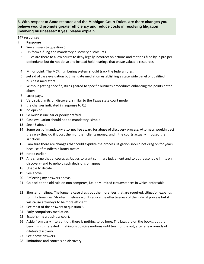# **6. With respect to State statutes and the Michigan Court Rules, are there changes you believe would promote greater efficiency and reduce costs in resolving litigation involving businesses? If yes, please explain.**

#### 147 responses

- 1 See answers to question 5
- 2 Uniform e-filing and mandatory discovery disclosures.
- 3 Rules are there to allow courts to deny legally incorrect objections and motions filed by in pro per defendants but do not do so and instead hold hearings that waste valuable resources.
- 4 Minor point: The MCR numbering system should track the federal rules.
- 5 get rid of case evaluation but mandate mediation establishing a state wide panel of qualified business mediators
- 6 Without getting specific, Rules geared to specific business procedures enhancing the points noted above.
- 7 Loser pays.
- 8 Very strict limits on discovery, similar to the Texas state court model.
- 9 the changes indicated in response to Q5
- 10 no opinion
- 11 So much is unclear or poorly drafted.
- 12 Case evaluation should not be mandatory; simple
- 13 See #5 above
- 14 Some sort of mandatory attorney fee award for abuse of discovery process. Attorneys wouldn't act they way they do if it cost them or their clients money, and if the courts actually imposed the sanctions.
- 15 I am sure there are changes that could expidite the process.Litigation should not drag on for years because of mindless dilatory tactics.
- 16 noted earlier
- 17 Any change that encourages Judges to grant summary judgement and to put reasonable limits on discovery (and to uphold such decisions on appeal)
- 18 Unable to decide
- 19 See above.
- 20 Reflecting my answers above.
- 21 Go back to the old rule on non competes, i.e. only limited circumstances in which enforcable.
- 22 Shorter timelines. The longer a case drags out the more fees that are required. Litigation expands to fit its timelines. Shorter timelines won't reduce the effectiveness of the judicial process but it will cause attorneys to be more efficient.
- 23 See most of the answers to question 5.
- 24 Early compulsory mediation.
- 25 Establishing a business court.
- 26 Aside from early intervention, there is nothing to do here. The laws are on the books, but the bench isn't interested in taking dispositive motions until ten months out, after a few rounds of dilatory discovery.
- 27 See above answers.
- 28 limitations and controls on discovery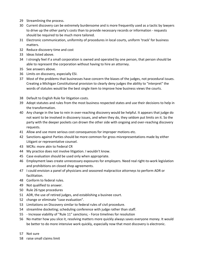- 29 Streamlining the process.
- 30 Current discovery can be extremely burdensome and is more frequently used as a tactic by lawyers to drive up the other party's costs than to provide necessary records or information ‐ requests should be required to be much more tailored.
- 31 Electronic communication, uniformity of procedures in local courts, uniform 'track' for business matters.
- 32 Reduce discovery time and cost
- 33 Ideas listed above.
- 34 I strongly feel if a small corporation is owned and operated by one person, that person should be able to represent the corporation without having to hire an attorney.
- 35 See answers above.
- 36 Limits on discovery, especially ESI.
- 37 Most of the problems that businesses have concern the biases of the judges, not procedural issues. Creating a Michigan Constitutional provision to clearly deny judges the ability to "interpret" the words of statutes would be the best single item to improve how business views the courts.
- 38 Default to English Rule for litigation costs.
- 39 Adopt statutes and rules from the most business respected states and use their decisions to help in the transformation.
- 40 Any change in the law to rein in over-reaching discovery would be helpful. It appears that judge do not want to be involved in discovery issues, and when they do, they seldom put limits on it. So the party with the deeper pockets can drown the other side with ongoing and over‐reaching discovery requests.
- 41 Allow and use more serious cost consequences for improper motions etc.
- 42 Sanctions against Parties should be more common for gross misrepresentations made by either Litigant or representative counsel.
- 43 MCRs: more akin to Federal CR
- 44 My practice does not involve litigation. I wouldn't know.
- 45 Case evaluation should be used only when appropriate.
- 46 Employment laws create unnecessary exposures for employers. Need real right‐to‐work legislation and prohibitions on closed shop agreements.
- 47 I could envision a panel of physicians and seasoned malpractice attorneys to perform ADR or facilitation.
- 48 Conform to federal rules.
- 49 Not qualified to answer.
- 50 Rule 26 type procedures
- 51 ADR, the use of retired judges, and establishing a businee court.
- 52 change or eliminate "case evaluation".
- 53 Limitations on Discovery similar to federal rules of civil procedure.
- 54 streamline docketing; scheduling conference with judge rather than staff.
- 55 ‐ Increase viability of "Rule 11" sanctions; ‐ Force timelines for resolution
- 56 No matter how you slice it, resolving matters more quickly always saves everyone money. It would be better to do more intensive work quickly, especially now that most discovery is electronic.
- 57 Not sure
- 58 raise small claims limit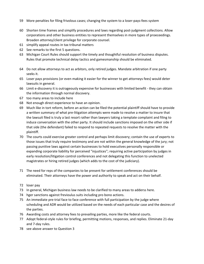- 59 More penalties for filing frivolous cases; changing the system to a loser-pays-fees system
- 60 Shorten time frames and simplify procedures and laws regarding post-judgment collections. Allow corporations and other business entities to represent themselves in more types of proeceedings. Broaden attorney/client privilege for corporate counsel.
- 61 simplify appeal routes in tax tribunal matters
- 62 See remarks to the first 5 questions.
- 63 Michigan Court Rules should support the timely and thoughtful resolution of business disputes. Rules that promote technical delay tactics and gamesmanship should be eliminated.
- 64 Do not allow attorneys to act as arbitors, only retired judges. Mandate arbitration if one party seeks it.
- 65 Loser pays provisions (or even making it easier for the winner to get attorneys fees) would deter lawsuits in general.
- 66 Limit e‐discovery it is outrageously expensive for businesses with limited benefit ‐ they can obtain the information through normal discovery.
- 67 too many areas to include here
- 68 Not enough direct experience to have an opinion.
- 69 Much like in tort reform, before an action can be filed the potential plaintiff should have to provide a written summary of what pre‐litigation attempts were made to resolve a matter to insure that the lawsuit filed is truly a last resort rather than lawyers taking a template complaint and filing to induce conversation with the other party. It should include sanctions imposed on the other side if that side (the defendant) failed to respond to repeated requests to resolve the matter with the plaintiff.
- 70 The courts could exercise greater control and perhaps limit discovery; contain the use of experts to those issues that truly require testimony and are not within the general knowledge of the jury; not passing punitive laws against certain businesses to hold executives personally responsible or expanding corporate liability for perceived "injustices"; requiring active participation by judges in early resolution/litigation control conferences and not delegating this function to unelected magistrates or hiring retired judges (which adds to the cost of the judiciary).
- 71 The need for reps of the companies to be present for settlement conferences should be eliminated. Their attorneys have the power and authority to speak and act on their behalf.
- 72 loser pay
- 73 In general, Michigan business law needs to be clarified to many areas to adderss here.
- 74 hger sanctions against frevioulus suits including pro bono actions.
- 75 An immediate pre-trial face to face conference with full participation by the judge where scheduling and ADR would be utilized based on the needs of each particular case and the desires of the parties.
- 76 Awarding costs and attorney fees to prevailing parties, more like the federal courts.
- 77 Adopt federal-style rules for briefing, permitting motions, responses, and replies. Eliminate 21-day and 7‐day rules.
- 78 see above answer to Question 3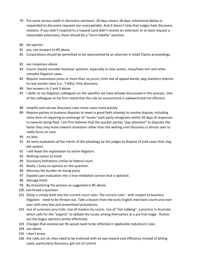- 79 Put some serious teeth in discovery sanctions. 28 days means 28 days. Intentional delays in responded to discovery requests are unacceptable. And it doesn't help that Judges hate discovery motions. If you didn't respond to a request (and didn't receive an extension or at least request a reasonable extension), there should be a "strict liability" sanction.
- 80 No opinion.
- 81 yes, see answers to #5 above
- 82 Corporations should be permitted to be represented by an attorney in Small Claims proceedings.
- 83 see responses above
- 84 Courts should consider business' position, especially in class action, mass/toxic tort and other complex litigation cases.
- 85 Require unanimous juries or more than six jurors; limit size of appeal bonds; peg statutory interest to real market rates (i.e., T‐Bills); limit discovery
- 86 See answers to 2 and 3 above
- 87 I defer to my litigation colleagues on the specifics we have already discussued in this process. One of the colleagues at my firm noted that the rule on concurrence is awkward and not efficient.
- 88 simplify and narrow discovery rules move cases more quickly
- 89 Require parties in business disputes to meet in good faith attempt to resolve dispute, including some form of requiring an exchange of "issues" each party recognizes within 30 days of responses to lawsuits being filed. I am firm believer that the quicker parties "pay attention" to disputes the faster they may move toward resolution rather than the waiting until discovery is almost over to really focus on case.
- 90 no idea.
- 91 An early evaluation of the merits of the pleadings by the judges to dispose of junk cases that clog the system.
- 92 I will leave the explanation to active litigators.
- 93 Nothing comes to mind
- 94 Discovery limitations similar to federal court.
- 95 Really, I have no opinion on this question.
- 96 Attorney fee burden on losing party.
- 97 Expand case evaluation into a true mediation service that is optional.
- 98 damage limits
- 99 By streamlining the process as suggested in #5 above.
- 100 too broad a question
- 101 Delay is simply built into the current court rules. The current rules with respect to business litigation ‐ need to be thrown out. Take a lession from the early English merchant courts and start over with very few and streamlined procedures.
- 102 Use of summary jury trials. Use of masters by courts. Use of "hot tubbing", a practice in Australia which calls for the "experts" to debate the issues among themselves at a pre trial stage - flushes out the bogus opinions pretty effectively.
- 103 Changes that eveolve per #5 would need to be reflected in applicable statutes/ct rules
- 104 see above
- 105 I don't know.
- 106 the rules are ok, they need to be enforced with an eye toward cost efficiency instead of letting cases, particularly discovery, get out of control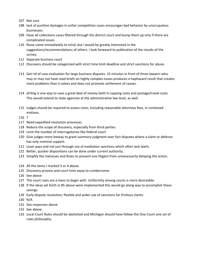- 107 Not sure
- 108 lack of punitive damages in unfair competition cases encourages bad behavior by unscrupulous businesses.
- 109 Have all collections cases filtered through the district court and bump them up only if there are complicated issues
- 110 None come immediately to mind, but I would be greatly interested in the suggestions/recommendations of others. I look forweard to publication of the results of the survey.
- 111 Separate business court
- 112 Discovery should be catagorized with strict time limit deadline and strict sanctions for abuse.
- 113 Get rid of case evaluation for large business disputes. 15 minutes in front of three lawyers who may or may not have read briefs on highly complex issues produces a haphazard result that creates more problems than it solves and does not promote settlement of caases.
- 114 eFiling is one way to save a great deal of money both in copying costs and postage/travel costs. This would extend to state agencies at the administrative law level, as well.
- 115 Judges should be required to assess costs, including reasonable attorneys fees, in contested motions.

116 ?

- 117 Need expedited resolution processes
- 118 Reduce the scope of discovery, especially from third parties.
- 119 Limit the number of interrogatories like federal court.
- 120 Give judges more leeway to grant summary judgment over fact disputes where a claim or defense has only nominal support.
- 121 Loser pays and not just through use of mediation sanctions which often lack teeth.
- 122 Better, quicker dispositions can be done under current authority.
- 123 Simplify the statutues and Rules to prevent one litigant from unnecessarily delaying the action.
- 124 All the items I marked 3 or 4 above.
- 125 Discovery process and court time away to cumbersome.
- 126 See above
- 127 The court rules are a mess to begin with. Uniformity among courts is more desireable.
- 128 If the ideas set forth in #5 above were implemented this would go along way to accomplish these savings.
- 129 Early dispute resolution; flexible and wider use of sanctions for frivilous claims
- 130 N/A
- 131 See responses above
- 132 See above.
- 133 Local Court Rules should be abolished and Michigan should have follow the One Court one set of rules philosophy.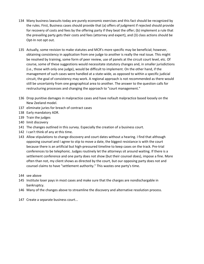- 134 Many business lawsuits today are purely economic exercises and this fact should be recognized by the rules. First, Business cases should provide that (a) offers of judgment if rejected should provide for recovery of costs and fees by the offering party if they beat the offer; (b) implement a rule that the prevailing party gets their costs and fees (attorney and expert), and (3) class actions should be Opt‐In not opt out.
- 135 Actually, some revision to make statutes and MCR's more specific may be beneficial; however, obtaining consistency in application from one judge to another is really the real issue. This might be resolved by training, some form of peer review, use of panels at the circuit court level, etc. Of course, some of these suggestions would necessitate statutory changes and, in smaller jurisdictions (i.e., those with only one judge), would be difficult to implement. On the other hand, if the management of such cases were handled at a state‐wide, as opposed to within a specific judicial circuit, the goal of consistency may work. A regional approach is not recommended as there would still be uncertainty from one geographical area to another. The answer to the question calls for restructuring processes and changing the approach to "court management."
- 136 Drop punitive damages in malpractice cases and have nofault malpractice based loosely on the New Zeeland model.
- 137 eliminate juries for breach of contract cases
- 138 Early mandatory ADR.
- 139 Train the judges
- 140 limit discovery
- 141 The changes outlined in this survey. Especially the creation of a business court.
- 142 I can't think of any at this time.
- 143 Allow stipulations to change discovery and court dates without a hearing. I find that although opposing counsel and I agree to stip to move a date, the biggest resistance is with the court because there is an artificial but high-pressured timeline to keep cases on the track. Pre-trial conferences to be telephonic. Judges routinely let the attorneys sit around waiting. If there is a settlement conference and one party does not show (but their counsel does), impose a fine. More often than not, my client shows as directed by the court, but our opposing party does not and counsel claims to have "settlement authority." This wastes one party's time.
- 144 see above
- 145 Institute loser pays in most cases and make sure that the charges are nondischargable in bankruptcy.
- 146 Many of the changes above to streamline the discovery and alternative resolution process.
- 147 Create a separate business court...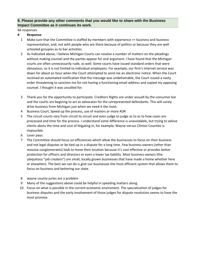# **8. Please provide any other comments that you would like to share with the Business Impact Committee as it continues its work.**

#### 66 responses

- 1 Make sure that the Committee is staffed by members with experience == business and business representation, and, not with people who are there because of politics or because they are well schooled groupies as to bar activities.
- 2 As indicated above, I believe Michigan Courts can resolve a number of matters on the pleadings without making counsel and the parties appear for oral argument. I have found that the Michigan courts are often unnecessarily rude, as well. Some courts have issued standard orders that were obnoxious, so it is not limited to individual employees. For example, our firm's internet service was down for about an hour when the Court attempted to send me an electronic notice. When the Court received an automated notification that the message was undeliverable, the Court issued a nasty order threatening to sanction me for not having a functioning email address and copied my opposing counsel. I thought it was uncalled for.
- 3 Thank you for the opportunity to participate. Creditors Rights are under assualt by the consumer bar and the courts are beginnig to act as advocates for the unrepresented defendants. This will surely drive business from Michigan just when we need it the most.
- 4 Business Court, Speed up the process, use of masters or more ADR
- 5 The circuit courts vary from circuit to circuit and even judge to judge as to as to how cases are processed and time for the process. I understand some difference is unavoidable, but trying to advise clients abotu the time and cost of litigating in, for example, Wayne versus Clinton Counties is impossible.
- 6 Loser pays.
- 7 The Committee should focus on efficiencies which allow the businesses to focus on their business and not legal disputes or be tied up in a dispute for a long time. Few business owners (other than massive conglomerates) look to move their location because it's cost effective or provides better protection for officers and directors or even a lower tax liability. Most business owners (the ubiquitous "job creaters") are small, locally grown businesses that have made a home whether here or elsewhere. The best we can do is give our businesses the most efficient system that allows them to focus on business and bettering our state.
- 8 wayne county juries are a problem
- 9 Many of the suggestions above could be helpful in speeding matters along.
- 10 Focus on what is possible in the current economic enviroment. The specialization of judges for business disputes and the early involvement of those judges for dispute resolution seems to have the most promise.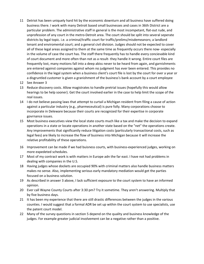- 11 Detriot has been uniquely hard hit by the economic downturn and all business have suffered doing business there. I work with many Detroit based small businesses and cases in 36th District are a particular problem. The administrative staff in general is the most incompetant, flat-out rude, and unprofession of any court in the metro‐Detroit area. The court should be split into several seperate districts by legal topic. i.e. a criminal/traffic court for traffic/prelims/misdemeanors; a landlord tenant and enviromental court; and a general civil division. Judges should not be expected to cover all of these legal areas assigned to them at the same time as frequently occurs there now‐ especially in the volume of case the court has. The staff there frequently has to handle every concievable kind of court document and more often than not as a result- they handle it wrong. Entire court files are frequently lost, many motions fall into a deep abiss never to be heard from again, and garnishments are entered against companies against whom no judgment has ever been entered. This provides no confidence in the legal system when a business client's court file is lost by the court for over a year or a disgruntled customer is given a granishment of the business's bank account by a court employee
- 12 See Answer 3
- 13 Reduce discovery costs. Allow magistrates to handle pretrial issues (hopefully this would allow hearings to be help sooner). Get the court involved earlier in the case to help limit the scope of the real issues.
- 14 I do not believe passing laws that attempt to curtail a Michigan resident from filing a cause of action against a particular industry (e.g., pharmeceutical) is pure folly. Many corporations choose to incorporate in Deleware because their courts are recognized for their expertise in corporate govrnance issues.
- 15 Most business executives view the local state courts much like a tax and make the decision to expand operations in a state or locate operations in another state based on the "net" the operations create. Any improvements that significantly reduce litigation costs (particularly transactional costs, such as legal fees) are likely to increase the flow of business into Michigan because it will increase the relative profitability of these operations.
- 16 Improvement can be made if we had buisness courts, with business-experienced judges, working on more expedeted schedules.
- 17 Most of my contract work is with matters in Europe adn the far east. I have not had problems in dealing with companies in the U.S.
- 18 Having judges whose dockets are occupied 90% with criminal matters also handle business matters makes no sense. Also, implementing serious early mandatory mediation would get the parties focused on a business solution.
- 19 As described in answer 3 above, I lack sufficient exposure to the court system to have an informed opinion.
- 20 Ever call Wayne County Courts after 3:30 pm? Try it sometime. They aren't answering. Multiply that by five business days.
- 21 It has been my experience that there are still drastic differences between the judges in the various counties. I would suggest that a formal ADR be set up within the court system to use specialists, use the patent court model.
- 22 Many of the survey questions in section 5 depend on the quality and business knowledge of the judges. For example greater judicial involvement can be a negative rather than a positive.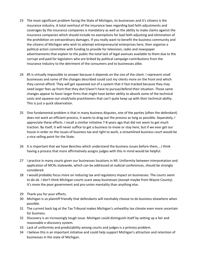- 23 The most significant problem facing the State of Michigan, its businesses and it's citizens is the insurance industry. A total overhaul of the insurance laws regarding bad faith adjustments and coverages by the insurance companies is mandatory as well as the ability to make claims against the insurance companies which should include no exemptions for bad faith adjusting and elimination of the prohibition on extraordinary damages. If you really want to benefit the business community and the citizens of Michigan who wish to attempt entrepreneurial enterprises here, then organize a political action committee with funding to provide for television, radio and newspaper advertisements that explain to the public the total lack of legal avenues available to them due to the corrupt and paid for legislators who are bribed by political campaign contributions from the Insurance Industry to the detriment of the consumers and to businesses alike.
- 24 #5 is virtually impossible to answer because it depends on the size of the client. I represent small businesses and some of the changes described could cost my clients more on the front end which they cannot afford. They will get squeezed out of a system that it fast-tracked because they may need larger fees up front that they don't/won't have to pursue/defend their situation. Those same changes appear to favor larger firms that might have better ability to absorb some of the technical costs and squeeze out small/solo practitioners that can't quite keep up with their technical ability. This is just a quick observation.
- 25 One fundamental problem is that in many business disputes, one of the parties (often the defendant) does not want an efficient process, it wants to drag out the process as long as possible. Separately, I appreciate these efforts. I recall a similiar initiative 7‐8 years ago that did not seem to get much traction. By itself, it will never suffice to get a business to move or stay here, but if we ever get our house in order on the issues of business tax and right to work, a streamlined business court would be a nice selling point for the State.
- 26 It is important that we have Benches which understand the business issues before them....I think having a process that more affirmatively assigns judges with this in mind would be helpful.
- 27 I practice in many courts given our businesses locations in MI. Uniformity between interpretation and application of MCRs statewide, which can be addressed at Judicial conferences, should be strongly considered.
- 28 I would probably focus more on reducing tax and regulatory impact on businesses. The courts seem to do ok. I don't think Michigan courts scare away businesses (except maybe from Wayne County). It's more the poor government and pro-union mentality than anything else.
- 29 Thank you for your efforts.
- 30 Michigan is so plaintiff friendly that defendants will inevitably choose to do business elsewhere when possible.
- 31 The current back log at the Tax Tribunal makes Michigan's unhealthy tax climate even more uncertain for business.
- 32 Discovery is an increasingly tough issue. Michigan could distinguish itself by setting up a fair and reasonable e‐discovery system.
- 33 Lack of uniformity and predictability among courts and judges is a primary problem.
- 34 I believe this is an important initiative and could help support Michigan's attraction and retention of businesses in the state of Michigan.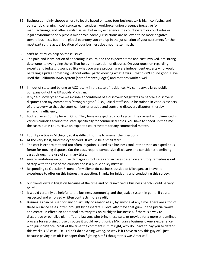- 35 Businesses mainly choose where to locate based on taxes (our business tax is high, confusing and constantly changing), cost structure, incentives, workforce, union presence (negative for manufacturing), and other similar issues, but in my experience the court system or court rules or legal environment only plays a minor role. Some jurisdictions are believed to be more negative toward business, but in the global economy you end up in the jurisdiction of your customers for the most part so the actual location of your business does not matter much.
- 36 can't be of much help on these issues
- 37 The pain and intimidation of appearing in court, and the expected time and cost involved, are strong deterrants to ever going there. That helps in resolution of disputes. On your question regarding experts and judges, it sounded like what you were proposing were independent experts who would be telling a judge something without either party knowing what it was... that didn't sound good. Have used the California JAMS system (sort of retired judges) and that has worked well.
- 38 I'm out of state and belong to ACC locally in the state of residence. My company, a large public company out of the UK avoids Michigan.
- 39 If by "e-discovery" above we include appointment of e-discovery Magistates to handle e-discovery disputes then my comment is "strongly agree." Also judicial staff should be trained in various aspects of e‐discovery so that the court can better preside and control e‐discovery disputes, thereby enhancing efficiency.
- 40 Look at Lucas County here in Ohio. They have an expidited court system they recently implimented in various counties around the state specifically for commerical cases. You have to speed up the time the cases our in court. Have an expidited court system for any commerical matter.
- 41 I don't practice in Michigan, so it is difficult for me to answer the questions.
- 42 At the very least, fund the cyber court. It would be a small start.
- 43 The cost is exhorbitant and too often litigation is used as a business tool, rather than an expeditious forum for moving disputes. Cut the cost, require compulsive disclosure and consider streamlining cases through the use of summary trials.
- 44 severe limitations on punitive damages in tort cases and in cases based on statutory remedies is out of step with the rest of the country and is a public policy mistake.
- 45 Responding to Question 7, none of my clients do business outside of Michigan, so I have no experience to offer on this interesting question. Thanks for initiating and conducting this survey.
- 46 our clients distain litigation because of the time and costs involved.a business bench would be very helpful
- 47 It would certainly be helpful to the business community and the justice system in genral if courts respected and enforced written contracts more readily.
- 48 Businesses can be sued for any or virtually no reason at all, by anyone at any time. There are a ton of these nuisance cases, often brought by desperate, D level attorneys that gum up the judicial works and create, in effect, an additional arbitrary tax on Michigan businesses. If there is a way to discourage or penalize plaintiffs and lawyers who bring these suits or provide for a more streamlined process for resolving those disputes it would revolutionize Michigan's business owners experience with jurisprudence. Most of the time the comment is, "I'm right, why do I have to pay you to defend this wacko's BS case ‐ Or ‐ I didn't do anything wrong, so why is it I have to pay this guy off ‐ just because paying him off is cheaper than fighting him? I thought this was America!"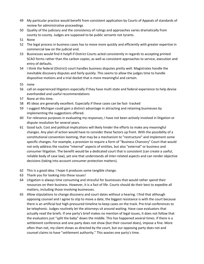- 49 My particular practice would benefit from consistent application by Courts of Appeals of standards of review for administrative proceedings
- 50 Quality of the judiciary and the consistency of rulings and approaches varies dramatically from county to county. Judges are supposed to be public servants not tyrants.
- 51 None
- 52 The legal process in business cases has to move more quickly and efficiently with greater expertise in commercial law on the judicial end.
- 53 Businesses would find it helpfl if District Courts acted consistently in regards to accepting printed SCAO forms rather than the carbon copies, as well as consistent approaches to service, execution and entry of defaults.
- 54 I think the federal (District) court handles business disputes pretty well. Magistrates handle the inevitable discovery disputes and fairly quickly. This seems to allow the judges time to handle dispositive motions and a trial docket that is more meaningful and certain.
- 55 none
- 56 call on experienced litigators especially if they have multi state and federal experience to help devise evenhanded and useful recommendations
- 57 None at this time.
- 58 #5 ideas are generally excellent. Especially if these cases can be fast-tracked
- 59 I suggest Michigan could gain a distinct advantage in attracting and retaining businesses by implementing the suggestions offered.
- 60 For relevance purposes in evaluating my responses, I have not been actively involved in litigation or dispute resolution for several years.
- 61 Good luck. Cost and political implications will likely hinder the efforts to make any meaningful changes. Any plan of action would have to consider these factors up front. With the possibility of a constitutional convention looming, that may be a mechanism to "restructure" and implement some specific changes. For example, a provision to require a form of "Business Chancery" Court that would not only address the routine "internal" aspects of entities, but also "external" or business and consumer litigation. The benefit would be a dedicated court that is consistent (can create a useful, reliable body of case law), yet one that understands all inter‐related aspects and can render objective decisions (taking into account consumer protection matters).
- 62 This is a good idea. I hope it produces some tangible change.
- 63 Thank you for looking into these issues!
- 64 Litigation is always time consuming and stressful for businesses that would rather spend their resources on their business. However, it is a fact of life. Courts should do their best to expedite all matters, including those involving businesses.
- 65 Allow stipulations to change discovery and court dates without a hearing. I find that although opposing counsel and I agree to stip to move a date, the biggest resistance is with the court because there is an artificial but high‐pressured timeline to keep cases on the track. Pre‐trial conferences to be telephonic. Judges routinely let the attorneys sit around waiting. Have case evaluators that actually read the briefs. If one party's brief makes no mention of legal issues, it does not follow that the evaluators just "split the baby" down the middle. This has happened several times. If there is a settlement conference and one party does not show (but their counsel does), impose a fine. More often than not, my client shows as directed by the court, but our opposing party does not and counsel claims to have "settlement authority." This wastes one party's time.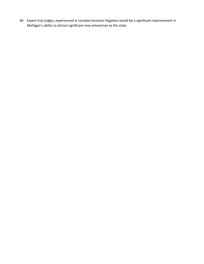66 Expert trial judges, experienced in complex business litigation would be a significant improvement in Michigan's ability to attract significant new enterprises to the state.